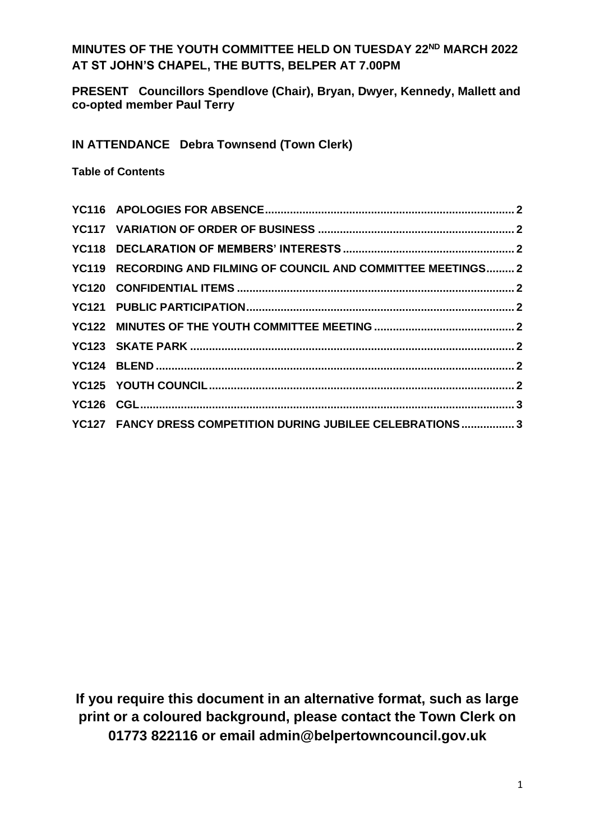## **MINUTES OF THE YOUTH COMMITTEE HELD ON TUESDAY 22ND MARCH 2022 AT ST JOHN'S CHAPEL, THE BUTTS, BELPER AT 7.00PM**

**PRESENT Councillors Spendlove (Chair), Bryan, Dwyer, Kennedy, Mallett and co-opted member Paul Terry**

**IN ATTENDANCE Debra Townsend (Town Clerk)**

**Table of Contents**

| YC119 RECORDING AND FILMING OF COUNCIL AND COMMITTEE MEETINGS 2 |  |
|-----------------------------------------------------------------|--|
|                                                                 |  |
|                                                                 |  |
|                                                                 |  |
|                                                                 |  |
|                                                                 |  |
|                                                                 |  |
|                                                                 |  |
| YC127 FANCY DRESS COMPETITION DURING JUBILEE CELEBRATIONS 3     |  |
|                                                                 |  |

**If you require this document in an alternative format, such as large print or a coloured background, please contact the Town Clerk on 01773 822116 or email admin@belpertowncouncil.gov.uk**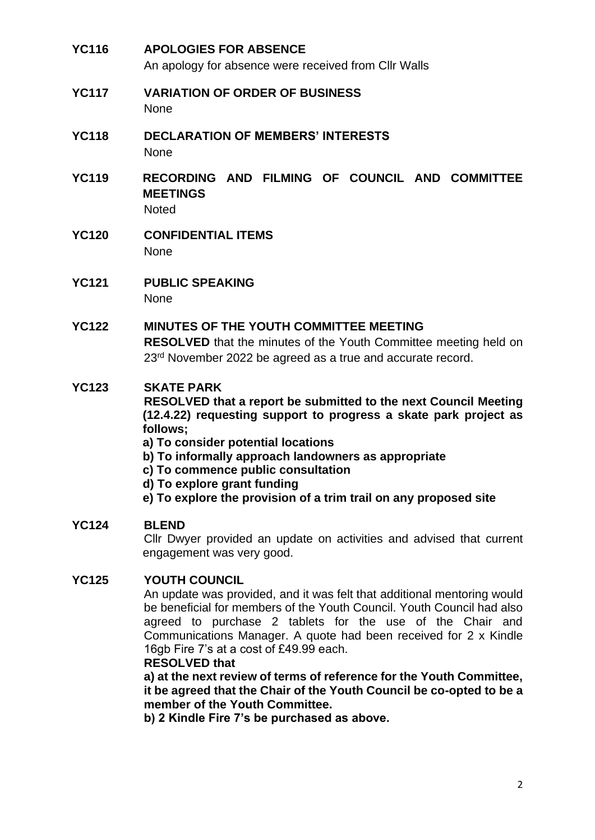**YC116 APOLOGIES FOR ABSENCE** An apology for absence were received from Cllr Walls **YC117 VARIATION OF ORDER OF BUSINESS** None **YC118 DECLARATION OF MEMBERS' INTERESTS None YC119 RECORDING AND FILMING OF COUNCIL AND COMMITTEE MEETINGS Noted YC120 CONFIDENTIAL ITEMS** None **YC121 PUBLIC SPEAKING** None **YC122 MINUTES OF THE YOUTH COMMITTEE MEETING RESOLVED** that the minutes of the Youth Committee meeting held on 23<sup>rd</sup> November 2022 be agreed as a true and accurate record. **YC123 SKATE PARK RESOLVED that a report be submitted to the next Council Meeting (12.4.22) requesting support to progress a skate park project as follows; a) To consider potential locations b) To informally approach landowners as appropriate c) To commence public consultation d) To explore grant funding e) To explore the provision of a trim trail on any proposed site YC124 BLEND** Cllr Dwyer provided an update on activities and advised that current engagement was very good.

## **YC125 YOUTH COUNCIL**

An update was provided, and it was felt that additional mentoring would be beneficial for members of the Youth Council. Youth Council had also agreed to purchase 2 tablets for the use of the Chair and Communications Manager. A quote had been received for 2 x Kindle 16gb Fire 7's at a cost of £49.99 each.

## **RESOLVED that**

**a) at the next review of terms of reference for the Youth Committee, it be agreed that the Chair of the Youth Council be co-opted to be a member of the Youth Committee.**

**b) 2 Kindle Fire 7's be purchased as above.**